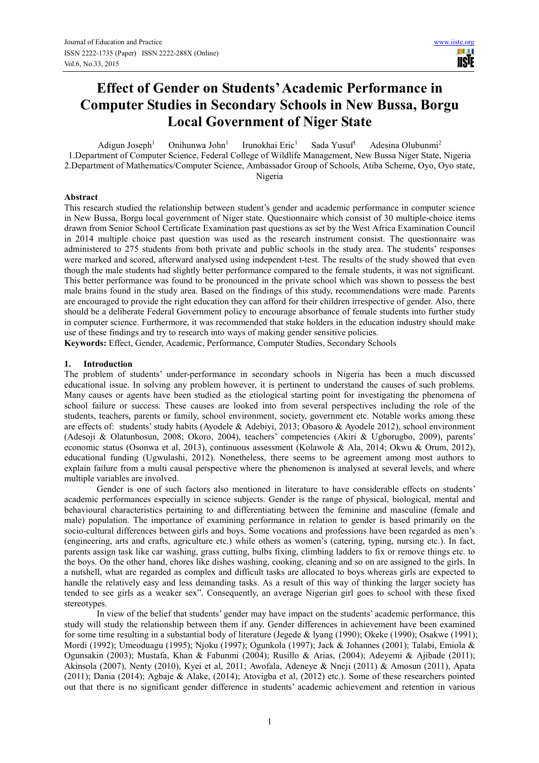**USIE** 

# **Effect of Gender on Students' Academic Performance in Computer Studies in Secondary Schools in New Bussa, Borgu Local Government of Niger State**

Adigun Joseph<sup>1</sup> Onihunwa John<sup>1</sup> Irunokhai Eric<sup>1</sup> Sada Yusuf<sup>1</sup> Adesina Olubunmi<sup>2</sup> 1.Department of Computer Science, Federal College of Wildlife Management, New Bussa Niger State, Nigeria 2.Department of Mathematics/Computer Science, Ambassador Group of Schools, Atiba Scheme, Oyo, Oyo state, Nigeria

#### **Abstract**

This research studied the relationship between student's gender and academic performance in computer science in New Bussa, Borgu local government of Niger state. Questionnaire which consist of 30 multiple-choice items drawn from Senior School Certificate Examination past questions as set by the West Africa Examination Council in 2014 multiple choice past question was used as the research instrument consist. The questionnaire was administered to 275 students from both private and public schools in the study area. The students' responses were marked and scored, afterward analysed using independent t-test. The results of the study showed that even though the male students had slightly better performance compared to the female students, it was not significant. This better performance was found to be pronounced in the private school which was shown to possess the best male brains found in the study area. Based on the findings of this study, recommendations were made. Parents are encouraged to provide the right education they can afford for their children irrespective of gender. Also, there should be a deliberate Federal Government policy to encourage absorbance of female students into further study in computer science. Furthermore, it was recommended that stake holders in the education industry should make use of these findings and try to research into ways of making gender sensitive policies.

**Keywords:** Effect, Gender, Academic, Performance, Computer Studies, Secondary Schools

#### **1. Introduction**

The problem of students' under-performance in secondary schools in Nigeria has been a much discussed educational issue. In solving any problem however, it is pertinent to understand the causes of such problems. Many causes or agents have been studied as the etiological starting point for investigating the phenomena of school failure or success. These causes are looked into from several perspectives including the role of the students, teachers, parents or family, school environment, society, government etc. Notable works among these are effects of: students' study habits (Ayodele & Adebiyi, 2013; Obasoro & Ayodele 2012), school environment (Adesoji & Olatunbosun, 2008; Okoro, 2004), teachers' competencies (Akiri & Ugborugbo, 2009), parents' economic status (Osonwa et al, 2013), continuous assessment (Kolawole & Ala, 2014; Okwu & Orum, 2012), educational funding (Ugwulashi, 2012). Nonetheless, there seems to be agreement among most authors to explain failure from a multi causal perspective where the phenomenon is analysed at several levels, and where multiple variables are involved.

Gender is one of such factors also mentioned in literature to have considerable effects on students' academic performances especially in science subjects. Gender is the range of physical, biological, mental and behavioural characteristics pertaining to and differentiating between the feminine and masculine (female and male) population. The importance of examining performance in relation to gender is based primarily on the socio-cultural differences between girls and boys. Some vocations and professions have been regarded as men's (engineering, arts and crafts, agriculture etc.) while others as women's (catering, typing, nursing etc.). In fact, parents assign task like car washing, grass cutting, bulbs fixing, climbing ladders to fix or remove things etc. to the boys. On the other hand, chores like dishes washing, cooking, cleaning and so on are assigned to the girls. In a nutshell, what are regarded as complex and difficult tasks are allocated to boys whereas girls are expected to handle the relatively easy and less demanding tasks. As a result of this way of thinking the larger society has tended to see girls as a weaker sex". Consequently, an average Nigerian girl goes to school with these fixed stereotypes.

In view of the belief that students' gender may have impact on the students' academic performance, this study will study the relationship between them if any. Gender differences in achievement have been examined for some time resulting in a substantial body of literature (Jegede & lyang (1990); Okeke (1990); Osakwe (1991); Mordi (1992); Umeoduagu (1995); Njoku (1997); Ogunkola (1997); Jack & Johannes (2001); Talabi, Emiola & Ogunsakin (2003); Mustafa, Khan & Fabunmi (2004); Rusillo & Arias, (2004); Adeyemi & Ajibade (2011); Akinsola (2007), Nenty (2010), Kyei et al, 2011; Awofala, Adeneye & Nneji (2011) & Amosun (2011), Apata (2011); Dania (2014); Agbaje & Alake, (2014); Atovigba et al, (2012) etc.). Some of these researchers pointed out that there is no significant gender difference in students' academic achievement and retention in various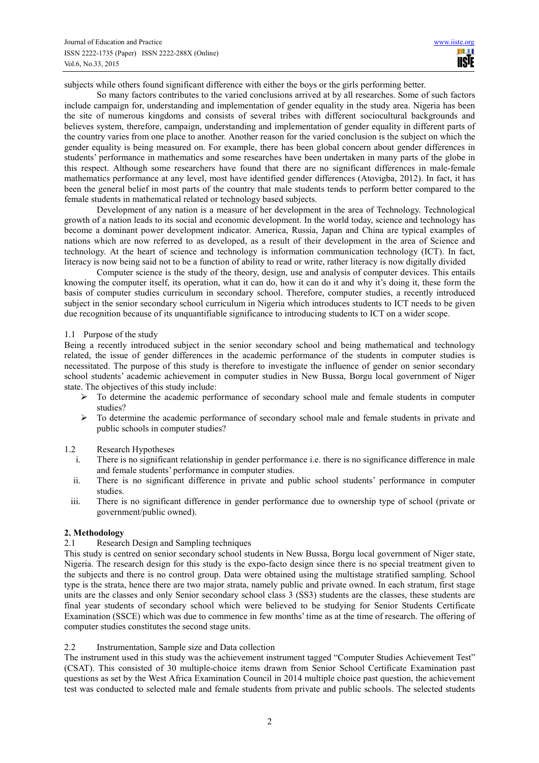subjects while others found significant difference with either the boys or the girls performing better.

So many factors contributes to the varied conclusions arrived at by all researches. Some of such factors include campaign for, understanding and implementation of gender equality in the study area. Nigeria has been the site of numerous kingdoms and consists of several tribes with different sociocultural backgrounds and believes system, therefore, campaign, understanding and implementation of gender equality in different parts of the country varies from one place to another. Another reason for the varied conclusion is the subject on which the gender equality is being measured on. For example, there has been global concern about gender differences in students' performance in mathematics and some researches have been undertaken in many parts of the globe in this respect. Although some researchers have found that there are no significant differences in male-female mathematics performance at any level, most have identified gender differences (Atovigba, 2012). In fact, it has been the general belief in most parts of the country that male students tends to perform better compared to the female students in mathematical related or technology based subjects.

Development of any nation is a measure of her development in the area of Technology. Technological growth of a nation leads to its social and economic development. In the world today, science and technology has become a dominant power development indicator. America, Russia, Japan and China are typical examples of nations which are now referred to as developed, as a result of their development in the area of Science and technology. At the heart of science and technology is information communication technology (ICT). In fact, literacy is now being said not to be a function of ability to read or write, rather literacy is now digitally divided

Computer science is the study of the theory, design, use and analysis of computer devices. This entails knowing the computer itself, its operation, what it can do, how it can do it and why it's doing it, these form the basis of computer studies curriculum in secondary school. Therefore, computer studies, a recently introduced subject in the senior secondary school curriculum in Nigeria which introduces students to ICT needs to be given due recognition because of its unquantifiable significance to introducing students to ICT on a wider scope.

#### 1.1 Purpose of the study

Being a recently introduced subject in the senior secondary school and being mathematical and technology related, the issue of gender differences in the academic performance of the students in computer studies is necessitated. The purpose of this study is therefore to investigate the influence of gender on senior secondary school students' academic achievement in computer studies in New Bussa, Borgu local government of Niger state. The objectives of this study include:

- $\triangleright$  To determine the academic performance of secondary school male and female students in computer studies?
- $\triangleright$  To determine the academic performance of secondary school male and female students in private and public schools in computer studies?

# 1.2 Research Hypotheses

- i. There is no significant relationship in gender performance i.e. there is no significance difference in male and female students' performance in computer studies.
- ii. There is no significant difference in private and public school students' performance in computer studies.
- iii. There is no significant difference in gender performance due to ownership type of school (private or government/public owned).

#### **2. Methodology**

#### 2.1 Research Design and Sampling techniques

This study is centred on senior secondary school students in New Bussa, Borgu local government of Niger state, Nigeria. The research design for this study is the expo-facto design since there is no special treatment given to the subjects and there is no control group. Data were obtained using the multistage stratified sampling. School type is the strata, hence there are two major strata, namely public and private owned. In each stratum, first stage units are the classes and only Senior secondary school class 3 (SS3) students are the classes, these students are final year students of secondary school which were believed to be studying for Senior Students Certificate Examination (SSCE) which was due to commence in few months' time as at the time of research. The offering of computer studies constitutes the second stage units.

# 2.2 Instrumentation, Sample size and Data collection

The instrument used in this study was the achievement instrument tagged "Computer Studies Achievement Test" (CSAT). This consisted of 30 multiple-choice items drawn from Senior School Certificate Examination past questions as set by the West Africa Examination Council in 2014 multiple choice past question, the achievement test was conducted to selected male and female students from private and public schools. The selected students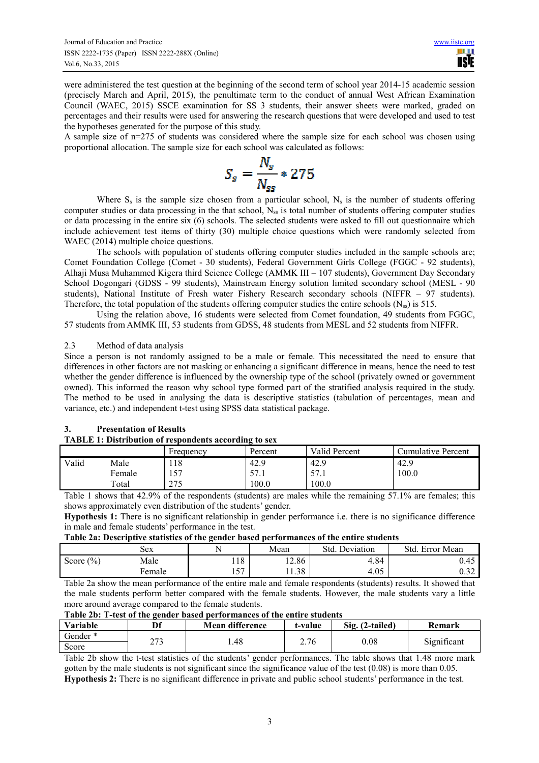were administered the test question at the beginning of the second term of school year 2014-15 academic session (precisely March and April, 2015), the penultimate term to the conduct of annual West African Examination Council (WAEC, 2015) SSCE examination for SS 3 students, their answer sheets were marked, graded on percentages and their results were used for answering the research questions that were developed and used to test the hypotheses generated for the purpose of this study.

A sample size of n=275 of students was considered where the sample size for each school was chosen using proportional allocation. The sample size for each school was calculated as follows:

$$
S_s = \frac{N_s}{N_{ss}} * 275
$$

Where  $S_s$  is the sample size chosen from a particular school,  $N_s$  is the number of students offering computer studies or data processing in the that school,  $N_{ss}$  is total number of students offering computer studies or data processing in the entire six (6) schools. The selected students were asked to fill out questionnaire which include achievement test items of thirty (30) multiple choice questions which were randomly selected from WAEC (2014) multiple choice questions.

The schools with population of students offering computer studies included in the sample schools are; Comet Foundation College (Comet - 30 students), Federal Government Girls College (FGGC - 92 students), Alhaji Musa Muhammed Kigera third Science College (AMMK III – 107 students), Government Day Secondary School Dogongari (GDSS - 99 students), Mainstream Energy solution limited secondary school (MESL - 90 students), National Institute of Fresh water Fishery Research secondary schools (NIFFR – 97 students). Therefore, the total population of the students offering computer studies the entire schools  $(N_{ss})$  is 515.

Using the relation above, 16 students were selected from Comet foundation, 49 students from FGGC, 57 students from AMMK III, 53 students from GDSS, 48 students from MESL and 52 students from NIFFR.

# 2.3 Method of data analysis

Since a person is not randomly assigned to be a male or female. This necessitated the need to ensure that differences in other factors are not masking or enhancing a significant difference in means, hence the need to test whether the gender difference is influenced by the ownership type of the school (privately owned or government owned). This informed the reason why school type formed part of the stratified analysis required in the study. The method to be used in analysing the data is descriptive statistics (tabulation of percentages, mean and variance, etc.) and independent t-test using SPSS data statistical package.

#### **3. Presentation of Results TABLE 1: Distribution of respondents according to sex**

|       |        | Frequency   | Percent          | Valid Percent | Cumulative Percent |
|-------|--------|-------------|------------------|---------------|--------------------|
| Valid | Male   | 118         | $\Omega$<br>42.5 | 42.9          | 42.9               |
|       | Female | 157         | 57.1             | 57<br>J/I.1   | 100.0              |
|       | Total  | つつく<br>ں ای | 100.0            | 100.0         |                    |

Table 1 shows that 42.9% of the respondents (students) are males while the remaining 57.1% are females; this shows approximately even distribution of the students' gender.

**Hypothesis 1:** There is no significant relationship in gender performance i.e. there is no significance difference in male and female students' performance in the test.

**Table 2a: Descriptive statistics of the gender based performances of the entire students** 

|               | Sex    | N              | Mean  | Std. Deviation | Std.<br>Error Mean |
|---------------|--------|----------------|-------|----------------|--------------------|
| Score $(\% )$ | Male   | 118            | 12.86 | 4.84           | $\sqrt{2}$<br>U.4J |
|               | Female | F <sub>7</sub> | 11.38 | 4.05           | $\sim$ 22.<br>∪.J∠ |

Table 2a show the mean performance of the entire male and female respondents (students) results. It showed that the male students perform better compared with the female students. However, the male students vary a little more around average compared to the female students.

**Table 2b: T-test of the gender based performances of the entire students** 

| Variable | Df    | <b>Mean difference</b> | t-value | Sig. (2-tailed) | Remark      |
|----------|-------|------------------------|---------|-----------------|-------------|
| Gender * | າສາ   | 1.48                   | 2.76    | 0.08            | Significant |
| Score    | د ا ک |                        |         |                 |             |

Table 2b show the t-test statistics of the students' gender performances. The table shows that 1.48 more mark gotten by the male students is not significant since the significance value of the test (0.08) is more than 0.05. **Hypothesis 2:** There is no significant difference in private and public school students' performance in the test.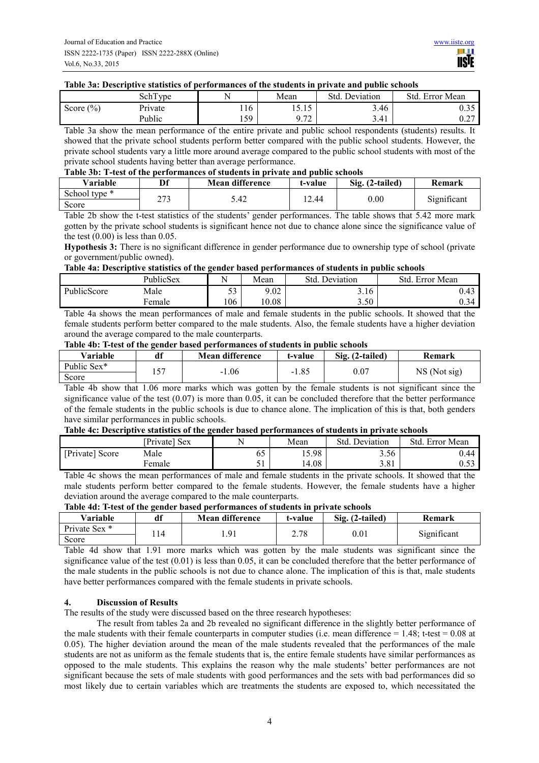#### **Table 3a: Descriptive statistics of performances of the students in private and public schools**

|               | SchT<br>l vne | N           | Mean               | Std.<br>Deviation | Std. Error Mean               |
|---------------|---------------|-------------|--------------------|-------------------|-------------------------------|
| Score $(\% )$ | Private       |             | $-1$<br>10.IJ      | 3.46              | $\sim$<br>v. j j              |
|               | Public        | 50<br>1 J J | 0.72<br>$\sqrt{2}$ | 3.41              | $\sim$ $\sim$ $\sim$<br>U.∠ ≀ |

Table 3a show the mean performance of the entire private and public school respondents (students) results. It showed that the private school students perform better compared with the public school students. However, the private school students vary a little more around average compared to the public school students with most of the private school students having better than average performance.

| Table 3b: T-test of the performances of students in private and public schools |  |
|--------------------------------------------------------------------------------|--|
|--------------------------------------------------------------------------------|--|

| Variable      | Df   | Mean difference | t-value | Sig. (2-tailed) | Remark      |
|---------------|------|-----------------|---------|-----------------|-------------|
| School type * | າາາ  | 5.42            | l 2.44  | $_{0.00}$       | Significant |
| Score         | ر رے |                 |         |                 |             |

Table 2b show the t-test statistics of the students' gender performances. The table shows that 5.42 more mark gotten by the private school students is significant hence not due to chance alone since the significance value of the test  $(0.00)$  is less than  $0.05$ .

**Hypothesis 3:** There is no significant difference in gender performance due to ownership type of school (private or government/public owned).

# **Table 4a: Descriptive statistics of the gender based performances of students in public schools**

|             | PublicSex | N                 | Mean  | Std.<br>Deviation | Std.<br>Error Mean  |
|-------------|-----------|-------------------|-------|-------------------|---------------------|
| PublicScore | Male      | $\epsilon$<br>ر ر | 9.02  | 3.16              | $\Lambda$<br>U.4J   |
|             | Female    | 106               | 10.08 | 3.50              | $\Omega$ 34<br>U.J4 |

Table 4a shows the mean performances of male and female students in the public schools. It showed that the female students perform better compared to the male students. Also, the female students have a higher deviation around the average compared to the male counterparts.

# **Table 4b: T-test of the gender based performances of students in public schools**

| Variable    | df  | <b>Mean difference</b> | t-value | Sig. (2-tailed) | Remark       |
|-------------|-----|------------------------|---------|-----------------|--------------|
| Public Sex* | $-$ |                        | $-1.85$ | 0.07            | NS (Not sig) |
| Score       |     | $-1.06$                |         |                 |              |

Table 4b show that 1.06 more marks which was gotten by the female students is not significant since the significance value of the test (0.07) is more than 0.05, it can be concluded therefore that the better performance of the female students in the public schools is due to chance alone. The implication of this is that, both genders have similar performances in public schools.

#### **Table 4c: Descriptive statistics of the gender based performances of students in private schools**

|                 | [Private] Sex |    | Mean  | Std<br>Deviation | Std<br>Error Mean |
|-----------------|---------------|----|-------|------------------|-------------------|
| [Private] Score | Male          | 0. | 15.98 | 3.56             | 0.44              |
|                 | ∙emale        | ◡  | 14.08 | 3.81             | $\sim$<br>U.JJ    |

Table 4c shows the mean performances of male and female students in the private schools. It showed that the male students perform better compared to the female students. However, the female students have a higher deviation around the average compared to the male counterparts.

# **Table 4d: T-test of the gender based performances of students in private schools**

| Variable      | df | Mean difference | t-value | Sig. (2-tailed) | Remark      |
|---------------|----|-----------------|---------|-----------------|-------------|
| Private Sex * |    | $\Omega$        | າ 70    |                 | Significant |
| Score         |    |                 | 2.10    | 0.01            |             |

Table 4d show that 1.91 more marks which was gotten by the male students was significant since the significance value of the test  $(0.01)$  is less than 0.05, it can be concluded therefore that the better performance of the male students in the public schools is not due to chance alone. The implication of this is that, male students have better performances compared with the female students in private schools.

# **4. Discussion of Results**

The results of the study were discussed based on the three research hypotheses:

The result from tables 2a and 2b revealed no significant difference in the slightly better performance of the male students with their female counterparts in computer studies (i.e. mean difference  $= 1.48$ ; t-test  $= 0.08$  at 0.05). The higher deviation around the mean of the male students revealed that the performances of the male students are not as uniform as the female students that is, the entire female students have similar performances as opposed to the male students. This explains the reason why the male students' better performances are not significant because the sets of male students with good performances and the sets with bad performances did so most likely due to certain variables which are treatments the students are exposed to, which necessitated the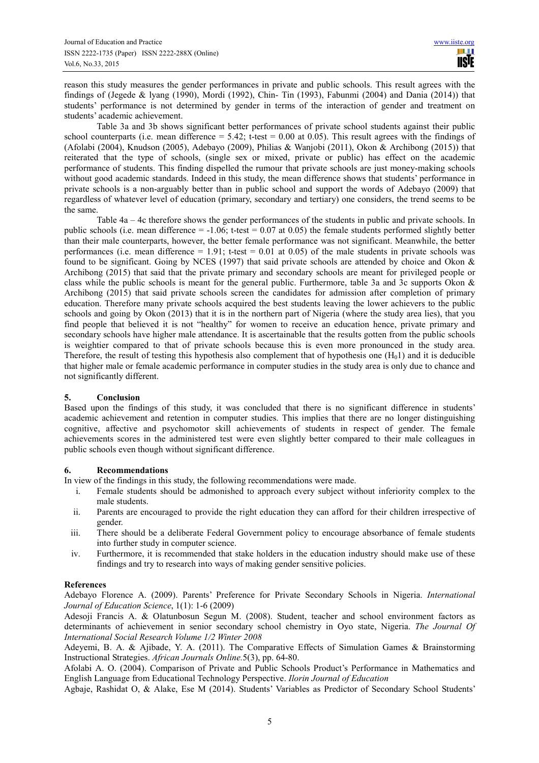reason this study measures the gender performances in private and public schools. This result agrees with the findings of (Jegede & lyang (1990), Mordi (1992), Chin- Tin (1993), Fabunmi (2004) and Dania (2014)) that students' performance is not determined by gender in terms of the interaction of gender and treatment on students' academic achievement.

Table 3a and 3b shows significant better performances of private school students against their public school counterparts (i.e. mean difference  $= 5.42$ ; t-test  $= 0.00$  at 0.05). This result agrees with the findings of (Afolabi (2004), Knudson (2005), Adebayo (2009), Philias & Wanjobi (2011), Okon & Archibong (2015)) that reiterated that the type of schools, (single sex or mixed, private or public) has effect on the academic performance of students. This finding dispelled the rumour that private schools are just money-making schools without good academic standards. Indeed in this study, the mean difference shows that students' performance in private schools is a non-arguably better than in public school and support the words of Adebayo (2009) that regardless of whatever level of education (primary, secondary and tertiary) one considers, the trend seems to be the same.

Table 4a – 4c therefore shows the gender performances of the students in public and private schools. In public schools (i.e. mean difference  $= -1.06$ ; t-test  $= 0.07$  at 0.05) the female students performed slightly better than their male counterparts, however, the better female performance was not significant. Meanwhile, the better performances (i.e. mean difference  $= 1.91$ ; t-test  $= 0.01$  at 0.05) of the male students in private schools was found to be significant. Going by NCES (1997) that said private schools are attended by choice and Okon & Archibong (2015) that said that the private primary and secondary schools are meant for privileged people or class while the public schools is meant for the general public. Furthermore, table 3a and 3c supports Okon & Archibong (2015) that said private schools screen the candidates for admission after completion of primary education. Therefore many private schools acquired the best students leaving the lower achievers to the public schools and going by Okon (2013) that it is in the northern part of Nigeria (where the study area lies), that you find people that believed it is not "healthy" for women to receive an education hence, private primary and secondary schools have higher male attendance. It is ascertainable that the results gotten from the public schools is weightier compared to that of private schools because this is even more pronounced in the study area. Therefore, the result of testing this hypothesis also complement that of hypothesis one  $(H<sub>0</sub>1)$  and it is deducible that higher male or female academic performance in computer studies in the study area is only due to chance and not significantly different.

# **5. Conclusion**

Based upon the findings of this study, it was concluded that there is no significant difference in students' academic achievement and retention in computer studies. This implies that there are no longer distinguishing cognitive, affective and psychomotor skill achievements of students in respect of gender. The female achievements scores in the administered test were even slightly better compared to their male colleagues in public schools even though without significant difference.

# **6. Recommendations**

In view of the findings in this study, the following recommendations were made.

- i. Female students should be admonished to approach every subject without inferiority complex to the male students.
- ii. Parents are encouraged to provide the right education they can afford for their children irrespective of gender.
- iii. There should be a deliberate Federal Government policy to encourage absorbance of female students into further study in computer science.
- iv. Furthermore, it is recommended that stake holders in the education industry should make use of these findings and try to research into ways of making gender sensitive policies.

# **References**

Adebayo Florence A. (2009). Parents' Preference for Private Secondary Schools in Nigeria. *International Journal of Education Science*, 1(1): 1-6 (2009)

Adesoji Francis A. & Olatunbosun Segun M. (2008). Student, teacher and school environment factors as determinants of achievement in senior secondary school chemistry in Oyo state, Nigeria. *The Journal Of International Social Research Volume 1/2 Winter 2008* 

Adeyemi, B. A. & Ajibade, Y. A. (2011). The Comparative Effects of Simulation Games & Brainstorming Instructional Strategies. *African Journals Online.*5(3), pp. 64-80.

Afolabi A. O. (2004). Comparison of Private and Public Schools Product's Performance in Mathematics and English Language from Educational Technology Perspective. *Ilorin Journal of Education* 

Agbaje, Rashidat O, & Alake, Ese M (2014). Students' Variables as Predictor of Secondary School Students'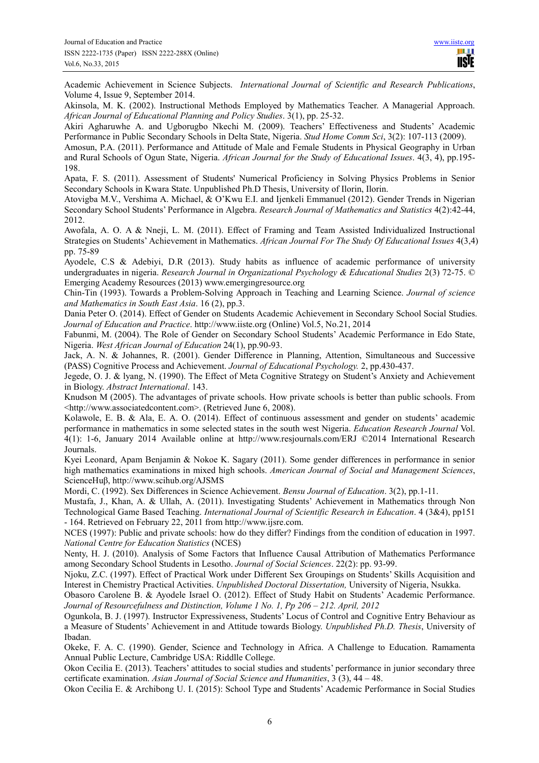Academic Achievement in Science Subjects. *International Journal of Scientific and Research Publications*, Volume 4, Issue 9, September 2014.

Akinsola, M. K. (2002). Instructional Methods Employed by Mathematics Teacher. A Managerial Approach. *African Journal of Educational Planning and Policy Studies*. 3(1), pp. 25-32.

Akiri Agharuwhe A. and Ugborugbo Nkechi M. (2009). Teachers' Effectiveness and Students' Academic Performance in Public Secondary Schools in Delta State, Nigeria. *Stud Home Comm Sci*, 3(2): 107-113 (2009).

Amosun, P.A. (2011). Performance and Attitude of Male and Female Students in Physical Geography in Urban and Rural Schools of Ogun State, Nigeria. *African Journal for the Study of Educational Issues*. 4(3, 4), pp.195- 198.

Apata, F. S. (2011). Assessment of Students' Numerical Proficiency in Solving Physics Problems in Senior Secondary Schools in Kwara State. Unpublished Ph.D Thesis, University of Ilorin, Ilorin.

Atovigba M.V., Vershima A. Michael, & O'Kwu E.I. and Ijenkeli Emmanuel (2012). Gender Trends in Nigerian Secondary School Students' Performance in Algebra. *Research Journal of Mathematics and Statistics* 4(2):42-44, 2012.

Awofala, A. O. A & Nneji, L. M. (2011). Effect of Framing and Team Assisted Individualized Instructional Strategies on Students' Achievement in Mathematics. *African Journal For The Study Of Educational Issues* 4(3,4) pp. 75-89

Ayodele, C.S & Adebiyi, D.R (2013). Study habits as influence of academic performance of university undergraduates in nigeria. *Research Journal in Organizational Psychology & Educational Studies* 2(3) 72-75. © Emerging Academy Resources (2013) www.emergingresource.org

Chin-Tin (1993). Towards a Problem-Solving Approach in Teaching and Learning Science. *Journal of science and Mathematics in South East Asia*. 16 (2), pp.3.

Dania Peter O. (2014). Effect of Gender on Students Academic Achievement in Secondary School Social Studies. *Journal of Education and Practice*. http://www.iiste.org (Online) Vol.5, No.21, 2014

Fabunmi, M. (2004). The Role of Gender on Secondary School Students' Academic Performance in Edo State, Nigeria. *West African Journal of Education* 24(1), pp.90-93.

Jack, A. N. & Johannes, R. (2001). Gender Difference in Planning, Attention, Simultaneous and Successive (PASS) Cognitive Process and Achievement. *Journal of Educational Psychology.* 2, pp.430-437.

Jegede, O. J. & lyang, N. (1990). The Effect of Meta Cognitive Strategy on Student's Anxiety and Achievement in Biology. *Abstract International*. 143.

Knudson M (2005). The advantages of private schools. How private schools is better than public schools. From <http://www.associatedcontent.com>. (Retrieved June 6, 2008).

Kolawole, E. B. & Ala, E. A. O. (2014). Effect of continuous assessment and gender on students' academic performance in mathematics in some selected states in the south west Nigeria. *Education Research Journal* Vol. 4(1): 1-6, January 2014 Available online at http://www.resjournals.com/ERJ ©2014 International Research Journals.

Kyei Leonard, Apam Benjamin & Nokoe K. Sagary (2011). Some gender differences in performance in senior high mathematics examinations in mixed high schools. *American Journal of Social and Management Sciences*, ScienceHuβ, http://www.scihub.org/AJSMS

Mordi, C. (1992). Sex Differences in Science Achievement. *Bensu Journal of Education*. 3(2), pp.1-11.

Mustafa, J., Khan, A. & Ullah, A. (2011). Investigating Students' Achievement in Mathematics through Non Technological Game Based Teaching. *International Journal of Scientific Research in Education*. 4 (3&4), pp151 - 164. Retrieved on February 22, 2011 from http://www.ijsre.com.

NCES (1997): Public and private schools: how do they differ? Findings from the condition of education in 1997. *National Centre for Education Statistics* (NCES)

Nenty, H. J. (2010). Analysis of Some Factors that Influence Causal Attribution of Mathematics Performance among Secondary School Students in Lesotho. *Journal of Social Sciences*. 22(2): pp. 93-99.

Njoku, Z.C. (1997). Effect of Practical Work under Different Sex Groupings on Students' Skills Acquisition and Interest in Chemistry Practical Activities. *Unpublished Doctoral Dissertation,* University of Nigeria, Nsukka.

Obasoro Carolene B. & Ayodele Israel O. (2012). Effect of Study Habit on Students' Academic Performance. *Journal of Resourcefulness and Distinction, Volume 1 No. 1, Pp 206 – 212. April, 2012* 

Ogunkola, B. J. (1997). Instructor Expressiveness, Students' Locus of Control and Cognitive Entry Behaviour as a Measure of Students' Achievement in and Attitude towards Biology. *Unpublished Ph.D. Thesis*, University of Ibadan.

Okeke, F. A. C. (1990). Gender, Science and Technology in Africa. A Challenge to Education. Ramamenta Annual Public Lecture, Cambridge USA: Riddlle College.

Okon Cecilia E. (2013). Teachers' attitudes to social studies and students' performance in junior secondary three certificate examination. *Asian Journal of Social Science and Humanities*, 3 (3), 44 – 48.

Okon Cecilia E. & Archibong U. I. (2015): School Type and Students' Academic Performance in Social Studies